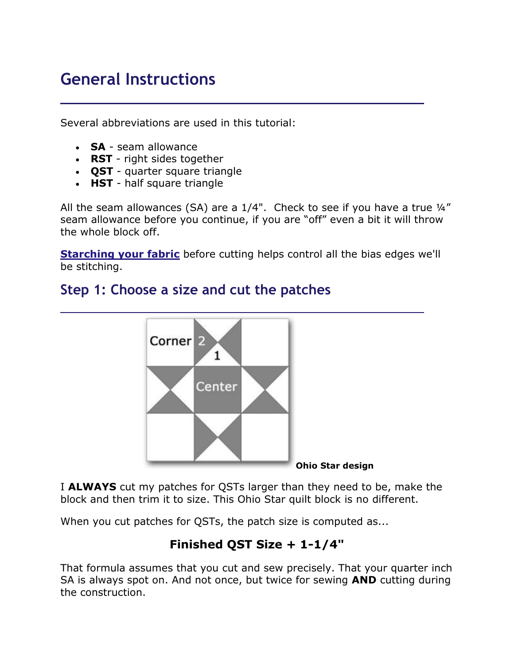# **General Instructions**

Several abbreviations are used in this tutorial:

- **SA** seam allowance
- **RST** right sides together
- **QST** quarter square triangle
- **HST** half square triangle

All the seam allowances (SA) are a  $1/4$ ". Check to see if you have a true  $\frac{1}{4}$ " seam allowance before you continue, if you are "off" even a bit it will throw the whole block off.

**[Starching your fabric](https://www.generations-quilt-patterns.com/starch-quilt-fabric.html)** before cutting helps control all the bias edges we'll be stitching.

## **Step 1: Choose a size and cut the patches**



I **ALWAYS** cut my patches for QSTs larger than they need to be, make the block and then trim it to size. This Ohio Star quilt block is no different.

When you cut patches for QSTs, the patch size is computed as...

#### **Finished QST Size + 1-1/4"**

That formula assumes that you cut and sew precisely. That your quarter inch SA is always spot on. And not once, but twice for sewing **AND** cutting during the construction.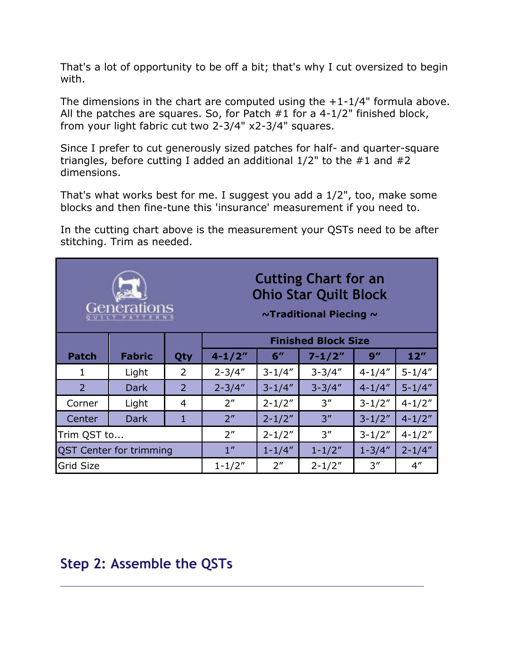That's a lot of opportunity to be off a bit; that's why I cut oversized to begin with.

The dimensions in the chart are computed using the  $+1-1/4$ " formula above. All the patches are squares. So, for Patch #1 for a 4-1/2" finished block, from your light fabric cut two 2-3/4" x2-3/4" squares.

Since I prefer to cut generously sized patches for half- and quarter-square triangles, before cutting I added an additional  $1/2$ " to the  $\#1$  and  $\#2$ dimensions.

That's what works best for me. I suggest you add a 1/2", too, make some blocks and then fine-tune this 'insurance' measurement if you need to.

In the cutting chart above is the measurement your QSTs need to be after stitching. Trim as needed.

| Generations                    |               |                | <b>Cutting Chart for an</b><br><b>Ohio Star Quilt Block</b><br>$\sim$ Traditional Piecing $\sim$ |                 |            |            |                     |
|--------------------------------|---------------|----------------|--------------------------------------------------------------------------------------------------|-----------------|------------|------------|---------------------|
|                                |               |                | <b>Finished Block Size</b>                                                                       |                 |            |            |                     |
| <b>Patch</b>                   | <b>Fabric</b> | Qty            | $4 - 1/2"$                                                                                       | 6''             | $7 - 1/2"$ | 9''        | $12^{\prime\prime}$ |
| 1                              | Light         | $\overline{2}$ | $2 - 3/4"$                                                                                       | $3 - 1/4"$      | $3 - 3/4"$ | $4 - 1/4"$ | $5 - 1/4"$          |
| $\mathcal{P}$                  | <b>Dark</b>   | 2              | $2 - 3/4"$                                                                                       | $3 - 1/4"$      | $3 - 3/4"$ | $4 - 1/4"$ | $5 - 1/4"$          |
| Corner                         | Light         | 4              | 2 <sup>''</sup>                                                                                  | $2 - 1/2"$      | 3''        | $3 - 1/2"$ | $4 - 1/2"$          |
| Center                         | <b>Dark</b>   | 1              | 2 <sup>n</sup>                                                                                   | $2 - 1/2"$      | 3''        | $3 - 1/2"$ | $4 - 1/2"$          |
| Trim QST to                    |               |                | 2 <sup>''</sup>                                                                                  | $2 - 1/2"$      | 3''        | $3 - 1/2"$ | $4 - 1/2"$          |
| <b>QST Center for trimming</b> |               |                | 1 <sup>''</sup>                                                                                  | $1 - 1/4"$      | $1 - 1/2"$ | $1 - 3/4"$ | $2 - 1/4"$          |
| <b>Grid Size</b>               |               |                | $1 - 1/2"$                                                                                       | 2 <sup>''</sup> | $2 - 1/2"$ | 3''        | $4^{\prime\prime}$  |

### **Step 2: Assemble the QSTs**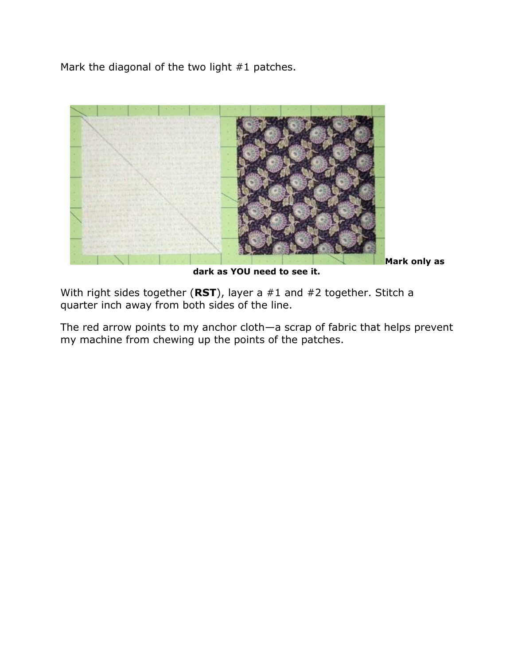Mark the diagonal of the two light #1 patches.



**dark as YOU need to see it.**

**Mark only as** 

With right sides together (**RST**), layer a #1 and #2 together. Stitch a quarter inch away from both sides of the line.

The red arrow points to my anchor cloth—a scrap of fabric that helps prevent my machine from chewing up the points of the patches.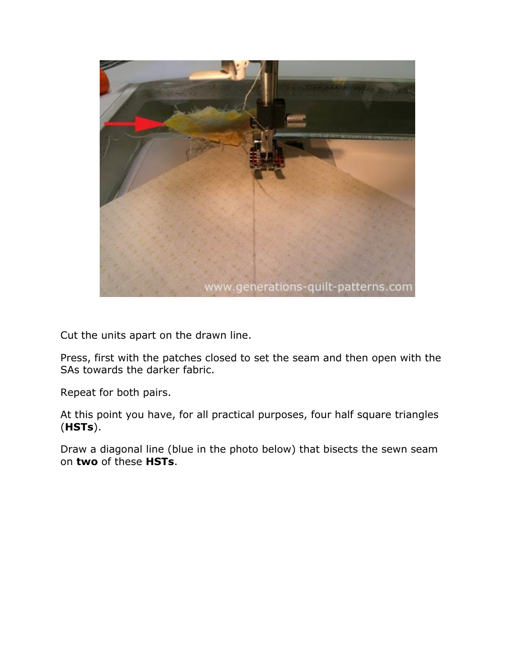

Cut the units apart on the drawn line.

Press, first with the patches closed to set the seam and then open with the SAs towards the darker fabric.

Repeat for both pairs.

At this point you have, for all practical purposes, four half square triangles (**HSTs**).

Draw a diagonal line (blue in the photo below) that bisects the sewn seam on **two** of these **HSTs**.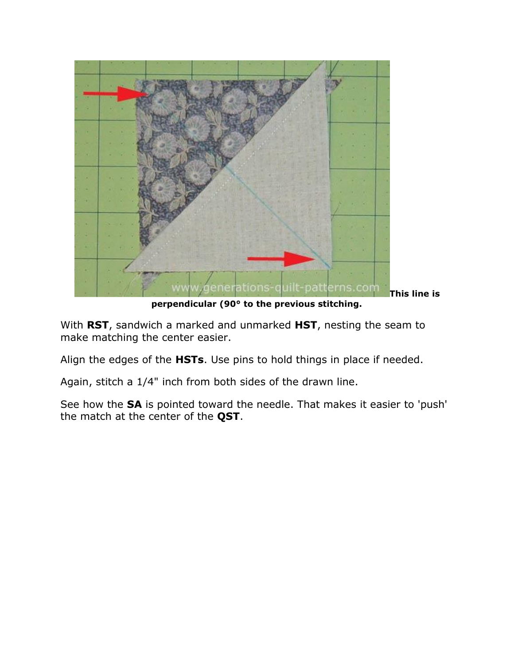

**perpendicular (90° to the previous stitching.**

With **RST**, sandwich a marked and unmarked **HST**, nesting the seam to make matching the center easier.

Align the edges of the **HSTs**. Use pins to hold things in place if needed.

Again, stitch a 1/4" inch from both sides of the drawn line.

See how the **SA** is pointed toward the needle. That makes it easier to 'push' the match at the center of the **QST**.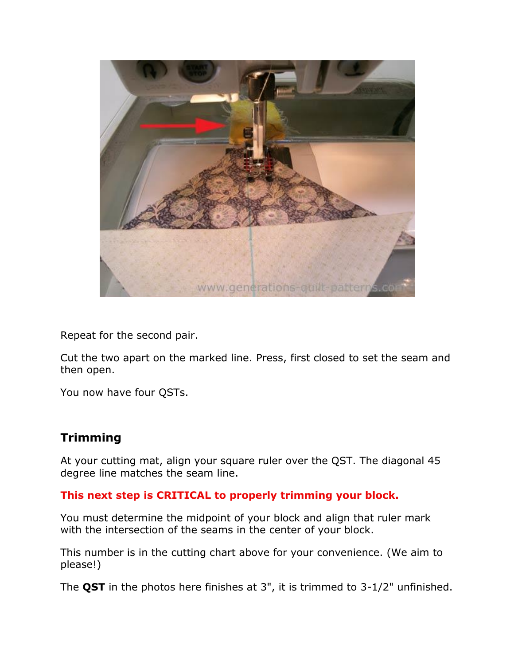

Repeat for the second pair.

Cut the two apart on the marked line. Press, first closed to set the seam and then open.

You now have four QSTs.

#### **Trimming**

At your cutting mat, align your square ruler over the QST. The diagonal 45 degree line matches the seam line.

#### **This next step is CRITICAL to properly trimming your block.**

You must determine the midpoint of your block and align that ruler mark with the intersection of the seams in the center of your block.

This number is in the cutting chart above for your convenience. (We aim to please!)

The **QST** in the photos here finishes at 3", it is trimmed to 3-1/2" unfinished.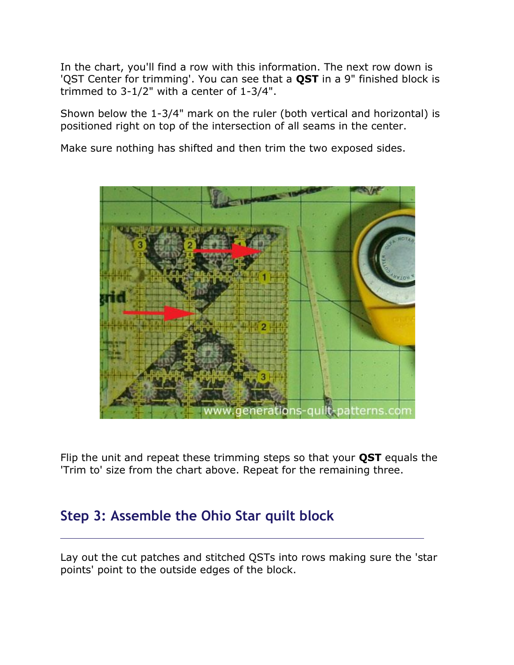In the chart, you'll find a row with this information. The next row down is 'QST Center for trimming'. You can see that a **QST** in a 9" finished block is trimmed to 3-1/2" with a center of 1-3/4".

Shown below the 1-3/4" mark on the ruler (both vertical and horizontal) is positioned right on top of the intersection of all seams in the center.

Make sure nothing has shifted and then trim the two exposed sides.



Flip the unit and repeat these trimming steps so that your **QST** equals the 'Trim to' size from the chart above. Repeat for the remaining three.

### **Step 3: Assemble the Ohio Star quilt block**

Lay out the cut patches and stitched QSTs into rows making sure the 'star points' point to the outside edges of the block.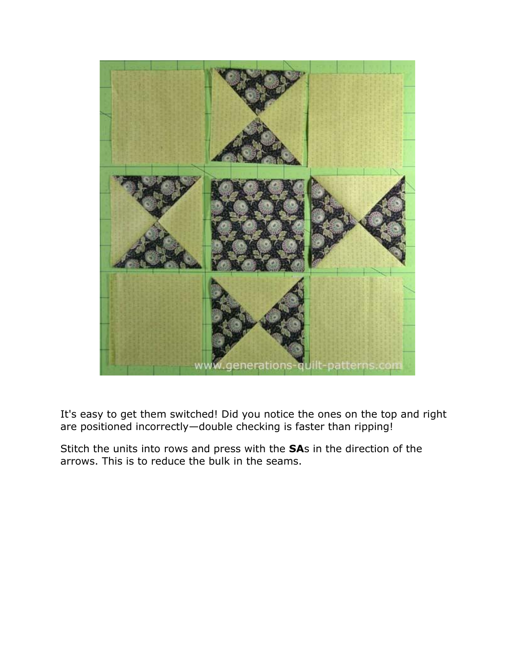

It's easy to get them switched! Did you notice the ones on the top and right are positioned incorrectly—double checking is faster than ripping!

Stitch the units into rows and press with the **SA**s in the direction of the arrows. This is to reduce the bulk in the seams.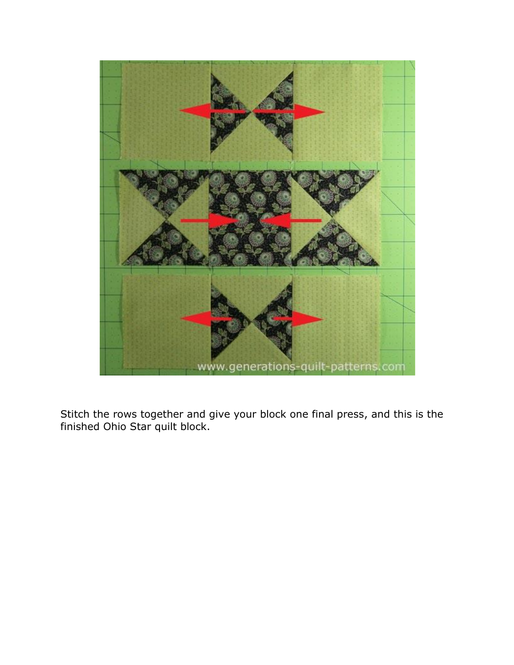

Stitch the rows together and give your block one final press, and this is the finished Ohio Star quilt block.